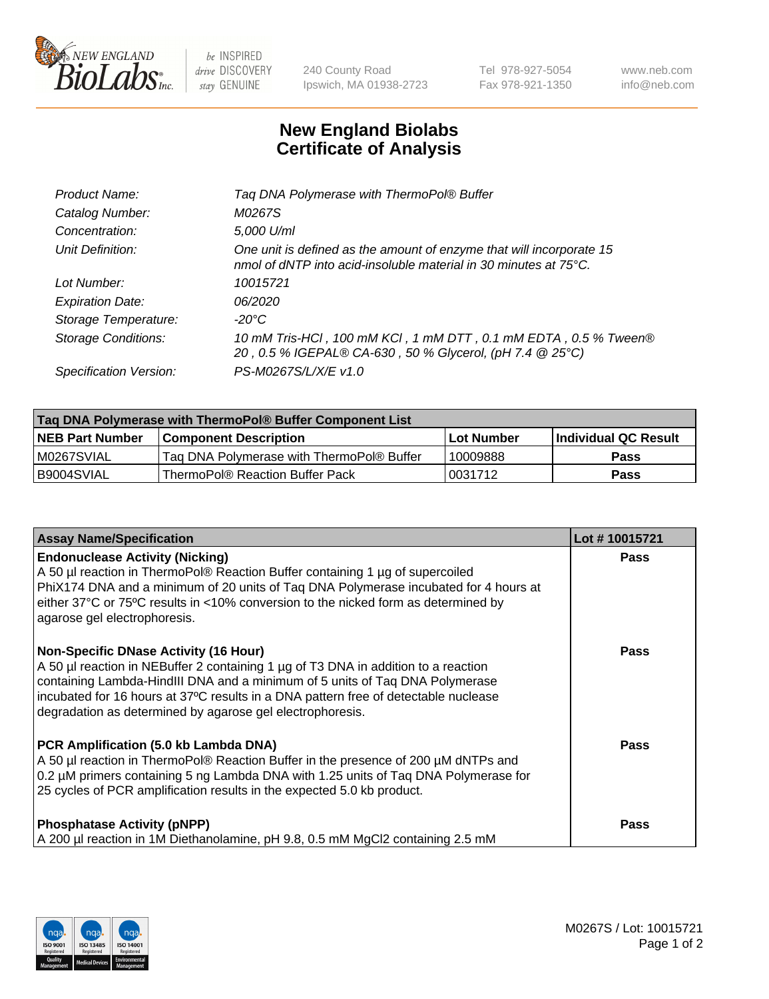

 $be$  INSPIRED drive DISCOVERY stay GENUINE

240 County Road Ipswich, MA 01938-2723 Tel 978-927-5054 Fax 978-921-1350 www.neb.com info@neb.com

## **New England Biolabs Certificate of Analysis**

| Product Name:              | Tag DNA Polymerase with ThermoPol® Buffer                                                                                                |
|----------------------------|------------------------------------------------------------------------------------------------------------------------------------------|
| Catalog Number:            | M0267S                                                                                                                                   |
| Concentration:             | 5,000 U/ml                                                                                                                               |
| Unit Definition:           | One unit is defined as the amount of enzyme that will incorporate 15<br>nmol of dNTP into acid-insoluble material in 30 minutes at 75°C. |
| Lot Number:                | 10015721                                                                                                                                 |
| <b>Expiration Date:</b>    | 06/2020                                                                                                                                  |
| Storage Temperature:       | $-20^{\circ}$ C                                                                                                                          |
| <b>Storage Conditions:</b> | 10 mM Tris-HCl, 100 mM KCl, 1 mM DTT, 0.1 mM EDTA, 0.5 % Tween®<br>20, 0.5 % IGEPAL® CA-630, 50 % Glycerol, (pH 7.4 @ 25°C)              |
| Specification Version:     | PS-M0267S/L/X/E v1.0                                                                                                                     |
|                            |                                                                                                                                          |

| Taq DNA Polymerase with ThermoPol® Buffer Component List |                                           |                   |                      |  |
|----------------------------------------------------------|-------------------------------------------|-------------------|----------------------|--|
| <b>NEB Part Number</b>                                   | <b>Component Description</b>              | <b>Lot Number</b> | Individual QC Result |  |
| M0267SVIAL                                               | Tag DNA Polymerase with ThermoPol® Buffer | 10009888          | <b>Pass</b>          |  |
| B9004SVIAL                                               | ThermoPol® Reaction Buffer Pack           | !0031712          | Pass                 |  |

| <b>Assay Name/Specification</b>                                                                                                                                                                                                                                                                                                                                        | Lot #10015721 |
|------------------------------------------------------------------------------------------------------------------------------------------------------------------------------------------------------------------------------------------------------------------------------------------------------------------------------------------------------------------------|---------------|
| <b>Endonuclease Activity (Nicking)</b><br>A 50 µl reaction in ThermoPol® Reaction Buffer containing 1 µg of supercoiled<br>PhiX174 DNA and a minimum of 20 units of Taq DNA Polymerase incubated for 4 hours at<br>either 37°C or 75°C results in <10% conversion to the nicked form as determined by<br>agarose gel electrophoresis.                                  | Pass          |
| <b>Non-Specific DNase Activity (16 Hour)</b><br>A 50 µl reaction in NEBuffer 2 containing 1 µg of T3 DNA in addition to a reaction<br>containing Lambda-HindIII DNA and a minimum of 5 units of Taq DNA Polymerase<br>incubated for 16 hours at 37°C results in a DNA pattern free of detectable nuclease<br>degradation as determined by agarose gel electrophoresis. | Pass          |
| PCR Amplification (5.0 kb Lambda DNA)<br>A 50 µl reaction in ThermoPol® Reaction Buffer in the presence of 200 µM dNTPs and<br>0.2 µM primers containing 5 ng Lambda DNA with 1.25 units of Taq DNA Polymerase for<br>25 cycles of PCR amplification results in the expected 5.0 kb product.                                                                           | Pass          |
| <b>Phosphatase Activity (pNPP)</b><br>A 200 µl reaction in 1M Diethanolamine, pH 9.8, 0.5 mM MgCl2 containing 2.5 mM                                                                                                                                                                                                                                                   | Pass          |